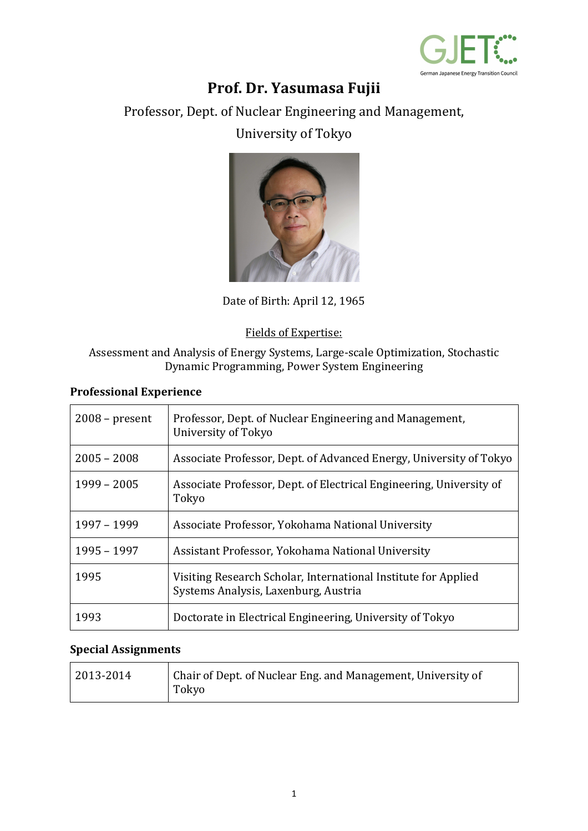

# **Prof. Dr. Yasumasa Fujii**

Professor, Dept. of Nuclear Engineering and Management,

## University of Tokyo



Date of Birth: April 12, 1965

#### Fields of Expertise:

Assessment and Analysis of Energy Systems, Large-scale Optimization, Stochastic Dynamic Programming, Power System Engineering

#### **Professional Experience**

| $2008$ – present | Professor, Dept. of Nuclear Engineering and Management,<br>University of Tokyo                         |
|------------------|--------------------------------------------------------------------------------------------------------|
| $2005 - 2008$    | Associate Professor, Dept. of Advanced Energy, University of Tokyo                                     |
| $1999 - 2005$    | Associate Professor, Dept. of Electrical Engineering, University of<br>Tokyo                           |
| 1997 - 1999      | Associate Professor, Yokohama National University                                                      |
| 1995 - 1997      | Assistant Professor, Yokohama National University                                                      |
| 1995             | Visiting Research Scholar, International Institute for Applied<br>Systems Analysis, Laxenburg, Austria |
| 1993             | Doctorate in Electrical Engineering, University of Tokyo                                               |

#### **Special Assignments**

| 2013-2014 | Chair of Dept. of Nuclear Eng. and Management, University of<br>Tokyo |
|-----------|-----------------------------------------------------------------------|
|           |                                                                       |